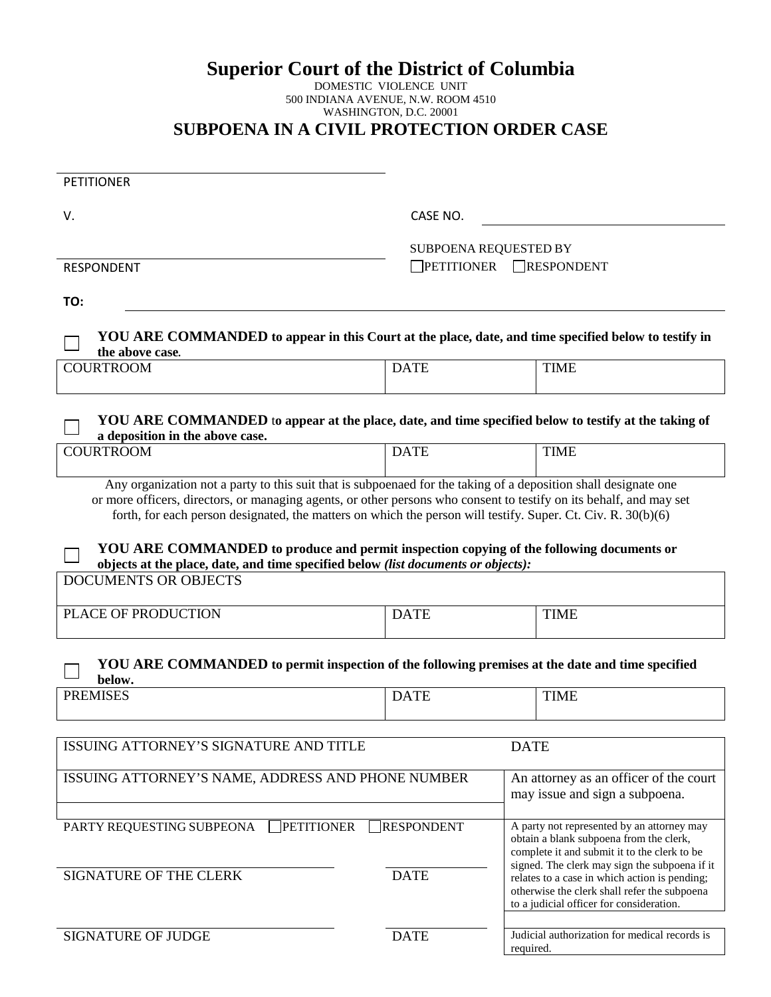# **Superior Court of the District of Columbia**

#### DOMESTIC VIOLENCE UNIT 500 INDIANA AVENUE, N.W. ROOM 4510 WASHINGTON, D.C. 20001 **SUBPOENA IN A CIVIL PROTECTION ORDER CASE**

| <b>PETITIONER</b>                                                                                                                                                                                                                                                                                                                                                                                                                                   |                                                          |                                                                                                                                                                                            |  |
|-----------------------------------------------------------------------------------------------------------------------------------------------------------------------------------------------------------------------------------------------------------------------------------------------------------------------------------------------------------------------------------------------------------------------------------------------------|----------------------------------------------------------|--------------------------------------------------------------------------------------------------------------------------------------------------------------------------------------------|--|
| V.                                                                                                                                                                                                                                                                                                                                                                                                                                                  | CASE NO.                                                 |                                                                                                                                                                                            |  |
| <b>RESPONDENT</b>                                                                                                                                                                                                                                                                                                                                                                                                                                   | SUBPOENA REQUESTED BY<br><b>PETITIONER</b><br>RESPONDENT |                                                                                                                                                                                            |  |
| TO:                                                                                                                                                                                                                                                                                                                                                                                                                                                 |                                                          |                                                                                                                                                                                            |  |
| YOU ARE COMMANDED to appear in this Court at the place, date, and time specified below to testify in<br>the above case.                                                                                                                                                                                                                                                                                                                             |                                                          |                                                                                                                                                                                            |  |
| <b>COURTROOM</b>                                                                                                                                                                                                                                                                                                                                                                                                                                    | <b>DATE</b>                                              | <b>TIME</b>                                                                                                                                                                                |  |
| YOU ARE COMMANDED to appear at the place, date, and time specified below to testify at the taking of<br>a deposition in the above case.                                                                                                                                                                                                                                                                                                             |                                                          |                                                                                                                                                                                            |  |
| <b>COURTROOM</b>                                                                                                                                                                                                                                                                                                                                                                                                                                    | <b>DATE</b>                                              | <b>TIME</b>                                                                                                                                                                                |  |
| or more officers, directors, or managing agents, or other persons who consent to testify on its behalf, and may set<br>forth, for each person designated, the matters on which the person will testify. Super. Ct. Civ. R. 30(b)(6)<br>YOU ARE COMMANDED to produce and permit inspection copying of the following documents or<br>objects at the place, date, and time specified below (list documents or objects):<br><b>DOCUMENTS OR OBJECTS</b> |                                                          |                                                                                                                                                                                            |  |
| PLACE OF PRODUCTION                                                                                                                                                                                                                                                                                                                                                                                                                                 | <b>DATE</b>                                              | <b>TIME</b>                                                                                                                                                                                |  |
| YOU ARE COMMANDED to permit inspection of the following premises at the date and time specified                                                                                                                                                                                                                                                                                                                                                     |                                                          |                                                                                                                                                                                            |  |
| below.<br><b>PREMISES</b>                                                                                                                                                                                                                                                                                                                                                                                                                           | <b>DATE</b>                                              | <b>TIME</b>                                                                                                                                                                                |  |
| ISSUING ATTORNEY'S SIGNATURE AND TITLE                                                                                                                                                                                                                                                                                                                                                                                                              |                                                          | <b>DATE</b>                                                                                                                                                                                |  |
| ISSUING ATTORNEY'S NAME, ADDRESS AND PHONE NUMBER                                                                                                                                                                                                                                                                                                                                                                                                   |                                                          | An attorney as an officer of the court<br>may issue and sign a subpoena.                                                                                                                   |  |
| <b>PETITIONER</b><br>PARTY REQUESTING SUBPEONA                                                                                                                                                                                                                                                                                                                                                                                                      | <b>RESPONDENT</b>                                        | A party not represented by an attorney may<br>obtain a blank subpoena from the clerk,<br>complete it and submit it to the clerk to be                                                      |  |
| SIGNATURE OF THE CLERK                                                                                                                                                                                                                                                                                                                                                                                                                              | <b>DATE</b>                                              | signed. The clerk may sign the subpoena if it<br>relates to a case in which action is pending;<br>otherwise the clerk shall refer the subpoena<br>to a judicial officer for consideration. |  |
| <b>SIGNATURE OF JUDGE</b>                                                                                                                                                                                                                                                                                                                                                                                                                           | <b>DATE</b>                                              | Judicial authorization for medical records is<br>required.                                                                                                                                 |  |